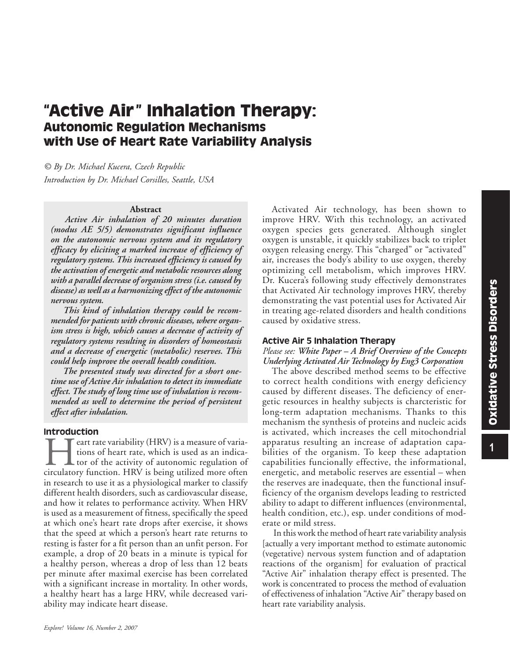# **"Active Air" Inhalation Therapy: Autonomic Regulation Mechanisms with Use of Heart Rate Variability Analysis**

*© By Dr. Michael Kucera, Czech Republic Introduction by Dr. Michael Corsilles, Seattle, USA*

#### **Abstract**

 *Active Air inhalation of 20 minutes duration (modus AE 5/5) demonstrates significant influence on the autonomic nervous system and its regulatory efficacy by eliciting a marked increase of efficiency of regulatory systems. This increased efficiency is caused by the activation of energetic and metabolic resources along with a parallel decrease of organism stress (i.e. caused by disease) as well as a harmonizing effect of the autonomic nervous system.* 

 *This kind of inhalation therapy could be recommended for patients with chronic diseases, where organism stress is high, which causes a decrease of activity of regulatory systems resulting in disorders of homeostasis and a decrease of energetic (metabolic) reserves. This could help improve the overall health condition.*

 *The presented study was directed for a short onetime use of Active Air inhalation to detect its immediate effect. The study of long time use of inhalation is recommended as well to determine the period of persistent effect after inhalation.* 

## Introduction

 $\blacksquare$  cart rate variability (HRV) is a measure of variations of heart rate, which is used as an indicator of the activity of autonomic regulation of circulatory function. HRV is being utilized more often in research to use it as a physiological marker to classify different health disorders, such as cardiovascular disease, and how it relates to performance activity. When HRV is used as a measurement of fitness, specifically the speed at which one's heart rate drops after exercise, it shows that the speed at which a person's heart rate returns to resting is faster for a fit person than an unfit person. For example, a drop of 20 beats in a minute is typical for a healthy person, whereas a drop of less than 12 beats per minute after maximal exercise has been correlated with a significant increase in mortality. In other words, a healthy heart has a large HRV, while decreased variability may indicate heart disease.

Activated Air technology, has been shown to improve HRV. With this technology, an activated oxygen species gets generated. Although singlet oxygen is unstable, it quickly stabilizes back to triplet oxygen releasing energy. This "charged" or "activated" air, increases the body's ability to use oxygen, thereby optimizing cell metabolism, which improves HRV. Dr. Kucera's following study effectively demonstrates that Activated Air technology improves HRV, thereby demonstrating the vast potential uses for Activated Air in treating age-related disorders and health conditions caused by oxidative stress.

#### Active Air 5 Inhalation Therapy

*Please see: White Paper – A Brief Overview of the Concepts Underlying Activated Air Technology by Eng3 Corporation*

The above described method seems to be effective to correct health conditions with energy deficiency caused by different diseases. The deficiency of energetic resources in healthy subjects is charcteristic for long-term adaptation mechanisms. Thanks to this mechanism the synthesis of proteins and nucleic acids is activated, which increases the cell mitochondrial apparatus resulting an increase of adaptation capabilities of the organism. To keep these adaptation capabilities funcionally effective, the informational, energetic, and metabolic reserves are essential – when the reserves are inadequate, then the functional insufficiency of the organism develops leading to restricted ability to adapt to different influences (environmental, health condition, etc.), esp. under conditions of moderate or mild stress.

 In this work the method of heart rate variability analysis [actually a very important method to estimate autonomic (vegetative) nervous system function and of adaptation reactions of the organism] for evaluation of practical "Active Air" inhalation therapy effect is presented. The work is concentrated to process the method of evaluation of effectiveness of inhalation "Active Air" therapy based on heart rate variability analysis.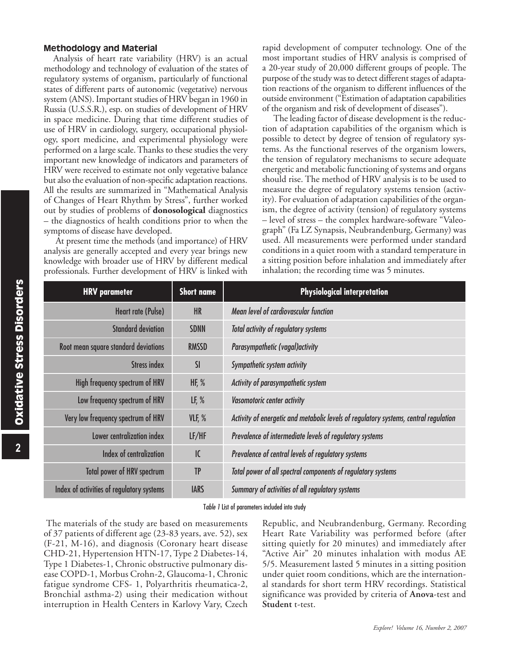### Methodology and Material

Analysis of heart rate variability (HRV) is an actual methodology and technology of evaluation of the states of regulatory systems of organism, particularly of functional states of different parts of autonomic (vegetative) nervous system (ANS). Important studies of HRV began in 1960 in Russia (U.S.S.R.), esp. on studies of development of HRV in space medicine. During that time different studies of use of HRV in cardiology, surgery, occupational physiology, sport medicine, and experimental physiology were performed on a large scale. Thanks to these studies the very important new knowledge of indicators and parameters of HRV were received to estimate not only vegetative balance but also the evaluation of non-specific adaptation reactions. All the results are summarized in "Mathematical Analysis of Changes of Heart Rhythm by Stress", further worked out by studies of problems of **donosological** diagnostics – the diagnostics of health conditions prior to when the symptoms of disease have developed.

 At present time the methods (and importance) of HRV analysis are generally accepted and every year brings new knowledge with broader use of HRV by different medical professionals. Further development of HRV is linked with

rapid development of computer technology. One of the most important studies of HRV analysis is comprised of a 20-year study of 20,000 different groups of people. The purpose of the study was to detect different stages of adaptation reactions of the organism to different influences of the outside environment ("Estimation of adaptation capabilities of the organism and risk of development of diseases").

 The leading factor of disease development is the reduction of adaptation capabilities of the organism which is possible to detect by degree of tension of regulatory systems. As the functional reserves of the organism lowers, the tension of regulatory mechanisms to secure adequate energetic and metabolic functioning of systems and organs should rise. The method of HRV analysis is to be used to measure the degree of regulatory systems tension (activity). For evaluation of adaptation capabilities of the organism, the degree of activity (tension) of regulatory systems – level of stress – the complex hardware-software "Valeograph" (Fa LZ Synapsis, Neubrandenburg, Germany) was used. All measurements were performed under standard conditions in a quiet room with a standard temperature in a sitting position before inhalation and immediately after inhalation; the recording time was 5 minutes.

| <b>HRV</b> parameter                      | <b>Short name</b> | <b>Physiological interpretation</b>                                                  |
|-------------------------------------------|-------------------|--------------------------------------------------------------------------------------|
| Heart rate (Pulse)                        | <b>HR</b>         | Mean level of cardiovascular function                                                |
| <b>Standard deviation</b>                 | <b>SDNN</b>       | Total activity of regulatory systems                                                 |
| Root mean square standard deviations      | <b>RMSSD</b>      | Parasympathetic (vagal) activity                                                     |
| <b>Stress index</b>                       | SI                | Sympathetic system activity                                                          |
| High frequency spectrum of HRV            | HF, $%$           | Activity of parasympathetic system                                                   |
| Low frequency spectrum of HRV             | LF, $%$           | <b>Vasomotoric center activity</b>                                                   |
| Very low frequency spectrum of HRV        | VLF, %            | Activity of energetic and metabolic levels of regulatory systems, central regulation |
| Lower centralization index                | LF/HF             | Prevalence of intermediate levels of regulatory systems                              |
| Index of centralization                   | $\overline{C}$    | Prevalence of central levels of regulatory systems                                   |
| <b>Total power of HRV spectrum</b>        | <b>TP</b>         | Total power of all spectral components of regulatory systems                         |
| Index of activities of regulatory systems | <b>IARS</b>       | Summary of activities of all regulatory systems                                      |

Table 1 List of parameters included into study

The materials of the study are based on measurements of 37 patients of different age (23-83 years, ave. 52), sex (F-21, M-16), and diagnosis (Coronary heart disease CHD-21, Hypertension HTN-17, Type 2 Diabetes-14, Type 1 Diabetes-1, Chronic obstructive pulmonary disease COPD-1, Morbus Crohn-2, Glaucoma-1, Chronic fatigue syndrome CFS- 1, Polyarthritis rheumatica-2, Bronchial asthma-2) using their medication without interruption in Health Centers in Karlovy Vary, Czech

Republic, and Neubrandenburg, Germany. Recording Heart Rate Variability was performed before (after sitting quietly for 20 minutes) and immediately after "Active Air" 20 minutes inhalation with modus AE 5/5. Measurement lasted 5 minutes in a sitting position under quiet room conditions, which are the international standards for short term HRV recordings. Statistical significance was provided by criteria of **Anova**-test and **Student** t-test.